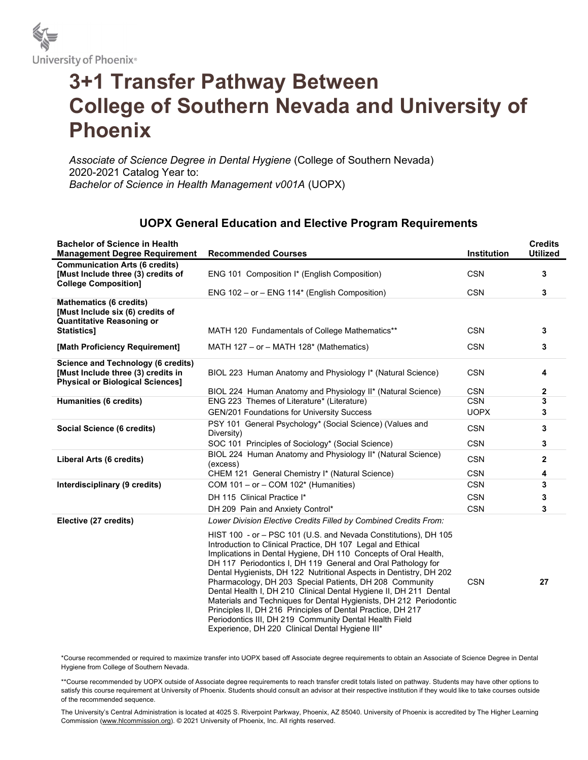

## 3+1 Transfer Pathway Between College of Southern Nevada and University of Phoenix

Associate of Science Degree in Dental Hygiene (College of Southern Nevada) 2020-2021 Catalog Year to: Bachelor of Science in Health Management v001A (UOPX)

## UOPX General Education and Elective Program Requirements

| <b>Bachelor of Science in Health</b><br><b>Management Degree Requirement</b>                                          | <b>Recommended Courses</b>                                                                                                                                                                                                                                                                                                                                                                                                                                                                                                                                                                                                                                                                                                | Institution | <b>Credits</b><br><b>Utilized</b> |
|-----------------------------------------------------------------------------------------------------------------------|---------------------------------------------------------------------------------------------------------------------------------------------------------------------------------------------------------------------------------------------------------------------------------------------------------------------------------------------------------------------------------------------------------------------------------------------------------------------------------------------------------------------------------------------------------------------------------------------------------------------------------------------------------------------------------------------------------------------------|-------------|-----------------------------------|
| <b>Communication Arts (6 credits)</b><br>[Must Include three (3) credits of<br><b>College Composition]</b>            | ENG 101 Composition I* (English Composition)                                                                                                                                                                                                                                                                                                                                                                                                                                                                                                                                                                                                                                                                              | <b>CSN</b>  | 3                                 |
|                                                                                                                       | ENG 102 - or - ENG 114* (English Composition)                                                                                                                                                                                                                                                                                                                                                                                                                                                                                                                                                                                                                                                                             | <b>CSN</b>  | 3                                 |
| <b>Mathematics (6 credits)</b><br>[Must Include six (6) credits of<br><b>Quantitative Reasoning or</b><br>Statistics] | MATH 120 Fundamentals of College Mathematics**                                                                                                                                                                                                                                                                                                                                                                                                                                                                                                                                                                                                                                                                            | <b>CSN</b>  | 3                                 |
|                                                                                                                       |                                                                                                                                                                                                                                                                                                                                                                                                                                                                                                                                                                                                                                                                                                                           |             |                                   |
| [Math Proficiency Requirement]                                                                                        | MATH $127 - or - MATH 128*$ (Mathematics)                                                                                                                                                                                                                                                                                                                                                                                                                                                                                                                                                                                                                                                                                 | <b>CSN</b>  | 3                                 |
| Science and Technology (6 credits)<br>[Must Include three (3) credits in<br><b>Physical or Biological Sciences]</b>   | BIOL 223 Human Anatomy and Physiology I* (Natural Science)                                                                                                                                                                                                                                                                                                                                                                                                                                                                                                                                                                                                                                                                | <b>CSN</b>  | 4                                 |
|                                                                                                                       | BIOL 224 Human Anatomy and Physiology II* (Natural Science)                                                                                                                                                                                                                                                                                                                                                                                                                                                                                                                                                                                                                                                               | <b>CSN</b>  | 2                                 |
| <b>Humanities (6 credits)</b>                                                                                         | ENG 223 Themes of Literature* (Literature)                                                                                                                                                                                                                                                                                                                                                                                                                                                                                                                                                                                                                                                                                | <b>CSN</b>  | 3                                 |
|                                                                                                                       | GEN/201 Foundations for University Success                                                                                                                                                                                                                                                                                                                                                                                                                                                                                                                                                                                                                                                                                | <b>UOPX</b> | 3                                 |
| Social Science (6 credits)                                                                                            | PSY 101 General Psychology* (Social Science) (Values and<br>Diversity)                                                                                                                                                                                                                                                                                                                                                                                                                                                                                                                                                                                                                                                    | <b>CSN</b>  | 3                                 |
|                                                                                                                       | SOC 101 Principles of Sociology* (Social Science)                                                                                                                                                                                                                                                                                                                                                                                                                                                                                                                                                                                                                                                                         | <b>CSN</b>  | 3                                 |
| Liberal Arts (6 credits)                                                                                              | BIOL 224 Human Anatomy and Physiology II* (Natural Science)<br>(excess)                                                                                                                                                                                                                                                                                                                                                                                                                                                                                                                                                                                                                                                   | <b>CSN</b>  | $\mathbf{2}$                      |
|                                                                                                                       | CHEM 121 General Chemistry I* (Natural Science)                                                                                                                                                                                                                                                                                                                                                                                                                                                                                                                                                                                                                                                                           | <b>CSN</b>  | 4                                 |
| Interdisciplinary (9 credits)                                                                                         | COM $101 - or - COM 102*$ (Humanities)                                                                                                                                                                                                                                                                                                                                                                                                                                                                                                                                                                                                                                                                                    | <b>CSN</b>  | 3                                 |
|                                                                                                                       | DH 115 Clinical Practice I*                                                                                                                                                                                                                                                                                                                                                                                                                                                                                                                                                                                                                                                                                               | <b>CSN</b>  | 3                                 |
|                                                                                                                       | DH 209 Pain and Anxiety Control*                                                                                                                                                                                                                                                                                                                                                                                                                                                                                                                                                                                                                                                                                          | <b>CSN</b>  | 3                                 |
| Elective (27 credits)                                                                                                 | Lower Division Elective Credits Filled by Combined Credits From:                                                                                                                                                                                                                                                                                                                                                                                                                                                                                                                                                                                                                                                          |             |                                   |
|                                                                                                                       | HIST 100 - or - PSC 101 (U.S. and Nevada Constitutions), DH 105<br>Introduction to Clinical Practice, DH 107 Legal and Ethical<br>Implications in Dental Hygiene, DH 110 Concepts of Oral Health,<br>DH 117 Periodontics I, DH 119 General and Oral Pathology for<br>Dental Hygienists, DH 122 Nutritional Aspects in Dentistry, DH 202<br>Pharmacology, DH 203 Special Patients, DH 208 Community<br>Dental Health I, DH 210 Clinical Dental Hygiene II, DH 211 Dental<br>Materials and Techniques for Dental Hygienists, DH 212 Periodontic<br>Principles II, DH 216 Principles of Dental Practice, DH 217<br>Periodontics III, DH 219 Community Dental Health Field<br>Experience, DH 220 Clinical Dental Hygiene III* | <b>CSN</b>  | 27                                |

\*Course recommended or required to maximize transfer into UOPX based off Associate degree requirements to obtain an Associate of Science Degree in Dental Hygiene from College of Southern Nevada.

\*\*Course recommended by UOPX outside of Associate degree requirements to reach transfer credit totals listed on pathway. Students may have other options to satisfy this course requirement at University of Phoenix. Students should consult an advisor at their respective institution if they would like to take courses outside of the recommended sequence.

The University's Central Administration is located at 4025 S. Riverpoint Parkway, Phoenix, AZ 85040. University of Phoenix is accredited by The Higher Learning Commission (www.hlcommission.org). © 2021 University of Phoenix, Inc. All rights reserved.